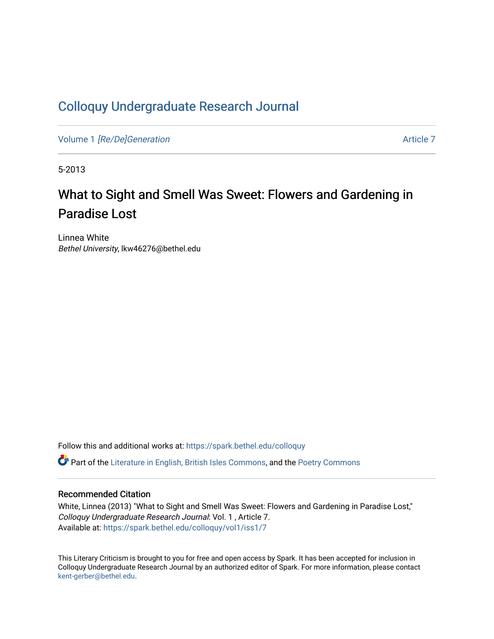### [Colloquy Undergraduate Research Journal](https://spark.bethel.edu/colloquy)

Volume 1 [\[Re/De\]Generation](https://spark.bethel.edu/colloquy/vol1) Article 7

5-2013

## What to Sight and Smell Was Sweet: Flowers and Gardening in Paradise Lost

Linnea White Bethel University, lkw46276@bethel.edu

Follow this and additional works at: [https://spark.bethel.edu/colloquy](https://spark.bethel.edu/colloquy?utm_source=spark.bethel.edu%2Fcolloquy%2Fvol1%2Fiss1%2F7&utm_medium=PDF&utm_campaign=PDFCoverPages) 

Part of the [Literature in English, British Isles Commons](http://network.bepress.com/hgg/discipline/456?utm_source=spark.bethel.edu%2Fcolloquy%2Fvol1%2Fiss1%2F7&utm_medium=PDF&utm_campaign=PDFCoverPages), and the [Poetry Commons](http://network.bepress.com/hgg/discipline/1153?utm_source=spark.bethel.edu%2Fcolloquy%2Fvol1%2Fiss1%2F7&utm_medium=PDF&utm_campaign=PDFCoverPages) 

### Recommended Citation

White, Linnea (2013) "What to Sight and Smell Was Sweet: Flowers and Gardening in Paradise Lost," Colloquy Undergraduate Research Journal: Vol. 1 , Article 7. Available at: [https://spark.bethel.edu/colloquy/vol1/iss1/7](https://spark.bethel.edu/colloquy/vol1/iss1/7?utm_source=spark.bethel.edu%2Fcolloquy%2Fvol1%2Fiss1%2F7&utm_medium=PDF&utm_campaign=PDFCoverPages) 

This Literary Criticism is brought to you for free and open access by Spark. It has been accepted for inclusion in Colloquy Undergraduate Research Journal by an authorized editor of Spark. For more information, please contact [kent-gerber@bethel.edu](mailto:kent-gerber@bethel.edu).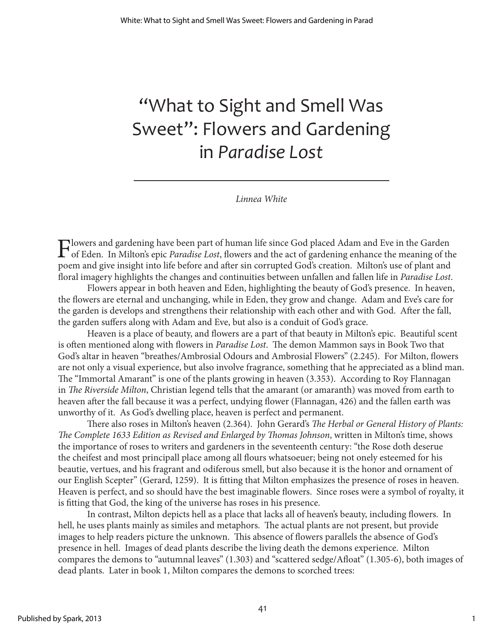# "What to Sight and Smell Was Sweet": Flowers and Gardening in *Paradise Lost*

*Linnea White*

Flowers and gardening have been part of human life since God placed Adam and Eve in the Garden<br>of Eden. In Milton's epic *Paradise Lost*, flowers and the act of gardening enhance the meaning of the<br>second at the life befor poem and give insight into life before and after sin corrupted God's creation. Milton's use of plant and floral imagery highlights the changes and continuities between unfallen and fallen life in *Paradise Lost*.

Flowers appear in both heaven and Eden, highlighting the beauty of God's presence. In heaven, the flowers are eternal and unchanging, while in Eden, they grow and change. Adam and Eve's care for the garden is develops and strengthens their relationship with each other and with God. After the fall, the garden suffers along with Adam and Eve, but also is a conduit of God's grace.

Heaven is a place of beauty, and flowers are a part of that beauty in Milton's epic. Beautiful scent is often mentioned along with flowers in *Paradise Lost*. The demon Mammon says in Book Two that God's altar in heaven "breathes/Ambrosial Odours and Ambrosial Flowers" (2.245). For Milton, flowers are not only a visual experience, but also involve fragrance, something that he appreciated as a blind man. The "Immortal Amarant" is one of the plants growing in heaven (3.353). According to Roy Flannagan in *The Riverside Milton*, Christian legend tells that the amarant (or amaranth) was moved from earth to heaven after the fall because it was a perfect, undying flower (Flannagan, 426) and the fallen earth was unworthy of it. As God's dwelling place, heaven is perfect and permanent.

There also roses in Milton's heaven (2.364). John Gerard's *The Herbal or General History of Plants: The Complete 1633 Edition as Revised and Enlarged by Thomas Johnson*, written in Milton's time, shows the importance of roses to writers and gardeners in the seventeenth century: "the Rose doth deserue the cheifest and most principall place among all flours whatsoeuer; being not onely esteemed for his beautie, vertues, and his fragrant and odiferous smell, but also because it is the honor and ornament of our English Scepter" (Gerard, 1259). It is fitting that Milton emphasizes the presence of roses in heaven. Heaven is perfect, and so should have the best imaginable flowers. Since roses were a symbol of royalty, it is fitting that God, the king of the universe has roses in his presence.

In contrast, Milton depicts hell as a place that lacks all of heaven's beauty, including flowers. In hell, he uses plants mainly as similes and metaphors. The actual plants are not present, but provide images to help readers picture the unknown. This absence of flowers parallels the absence of God's presence in hell. Images of dead plants describe the living death the demons experience. Milton compares the demons to "autumnal leaves" (1.303) and "scattered sedge/Afloat" (1.305-6), both images of dead plants. Later in book 1, Milton compares the demons to scorched trees: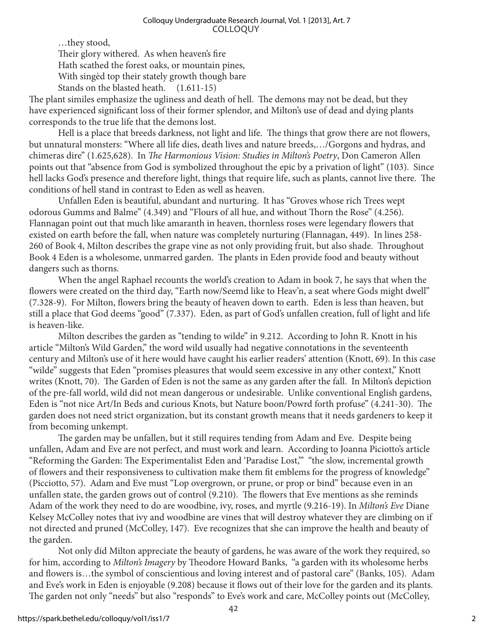…they stood, Their glory withered. As when heaven's fire Hath scathed the forest oaks, or mountain pines, With singèd top their stately growth though bare Stands on the blasted heath. (1.611-15)

The plant similes emphasize the ugliness and death of hell. The demons may not be dead, but they have experienced significant loss of their former splendor, and Milton's use of dead and dying plants corresponds to the true life that the demons lost.

Hell is a place that breeds darkness, not light and life. The things that grow there are not flowers, but unnatural monsters: "Where all life dies, death lives and nature breeds,…/Gorgons and hydras, and chimeras dire" (1.625,628). In *The Harmonious Vision: Studies in Milton's Poetry*, Don Cameron Allen points out that "absence from God is symbolized throughout the epic by a privation of light" (103). Since hell lacks God's presence and therefore light, things that require life, such as plants, cannot live there. The conditions of hell stand in contrast to Eden as well as heaven.

Unfallen Eden is beautiful, abundant and nurturing. It has "Groves whose rich Trees wept odorous Gumms and Balme" (4.349) and "Flours of all hue, and without Thorn the Rose" (4.256). Flannagan point out that much like amaranth in heaven, thornless roses were legendary flowers that existed on earth before the fall, when nature was completely nurturing (Flannagan, 449). In lines 258- 260 of Book 4, Milton describes the grape vine as not only providing fruit, but also shade. Throughout Book 4 Eden is a wholesome, unmarred garden. The plants in Eden provide food and beauty without dangers such as thorns.

When the angel Raphael recounts the world's creation to Adam in book 7, he says that when the flowers were created on the third day, "Earth now/Seemd like to Heav'n, a seat where Gods might dwell" (7.328-9). For Milton, flowers bring the beauty of heaven down to earth. Eden is less than heaven, but still a place that God deems "good" (7.337). Eden, as part of God's unfallen creation, full of light and life is heaven-like.

Milton describes the garden as "tending to wilde" in 9.212. According to John R. Knott in his article "Milton's Wild Garden," the word wild usually had negative connotations in the seventeenth century and Milton's use of it here would have caught his earlier readers' attention (Knott, 69). In this case "wilde" suggests that Eden "promises pleasures that would seem excessive in any other context," Knott writes (Knott, 70). The Garden of Eden is not the same as any garden after the fall. In Milton's depiction of the pre-fall world, wild did not mean dangerous or undesirable. Unlike conventional English gardens, Eden is "not nice Art/In Beds and curious Knots, but Nature boon/Powrd forth profuse" (4.241-30). The garden does not need strict organization, but its constant growth means that it needs gardeners to keep it from becoming unkempt.

The garden may be unfallen, but it still requires tending from Adam and Eve. Despite being unfallen, Adam and Eve are not perfect, and must work and learn. According to Joanna Piciotto's article "Reforming the Garden: The Experimentalist Eden and 'Paradise Lost,'" "the slow, incremental growth of flowers and their responsiveness to cultivation make them fit emblems for the progress of knowledge" (Picciotto, 57). Adam and Eve must "Lop overgrown, or prune, or prop or bind" because even in an unfallen state, the garden grows out of control (9.210). The flowers that Eve mentions as she reminds Adam of the work they need to do are woodbine, ivy, roses, and myrtle (9.216-19). In *Milton's Eve* Diane Kelsey McColley notes that ivy and woodbine are vines that will destroy whatever they are climbing on if not directed and pruned (McColley, 147). Eve recognizes that she can improve the health and beauty of the garden.

Not only did Milton appreciate the beauty of gardens, he was aware of the work they required, so for him, according to *Milton's Imagery* by Theodore Howard Banks, "a garden with its wholesome herbs and flowers is…the symbol of conscientious and loving interest and of pastoral care" (Banks, 105). Adam and Eve's work in Eden is enjoyable (9.208) because it flows out of their love for the garden and its plants. The garden not only "needs" but also "responds" to Eve's work and care, McColley points out (McColley,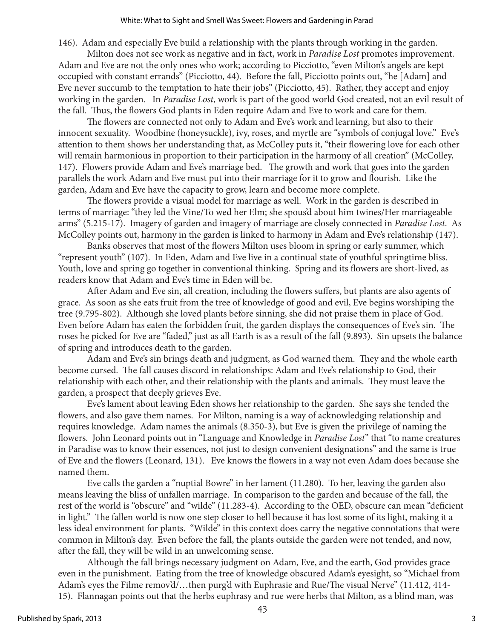146). Adam and especially Eve build a relationship with the plants through working in the garden.

Milton does not see work as negative and in fact, work in *Paradise Lost* promotes improvement. Adam and Eve are not the only ones who work; according to Picciotto, "even Milton's angels are kept occupied with constant errands" (Picciotto, 44). Before the fall, Picciotto points out, "he [Adam] and Eve never succumb to the temptation to hate their jobs" (Picciotto, 45). Rather, they accept and enjoy working in the garden. In *Paradise Lost*, work is part of the good world God created, not an evil result of the fall. Thus, the flowers God plants in Eden require Adam and Eve to work and care for them.

The flowers are connected not only to Adam and Eve's work and learning, but also to their innocent sexuality. Woodbine (honeysuckle), ivy, roses, and myrtle are "symbols of conjugal love." Eve's attention to them shows her understanding that, as McColley puts it, "their flowering love for each other will remain harmonious in proportion to their participation in the harmony of all creation" (McColley, 147). Flowers provide Adam and Eve's marriage bed. The growth and work that goes into the garden parallels the work Adam and Eve must put into their marriage for it to grow and flourish. Like the garden, Adam and Eve have the capacity to grow, learn and become more complete.

The flowers provide a visual model for marriage as well. Work in the garden is described in terms of marriage: "they led the Vine/To wed her Elm; she spous'd about him twines/Her marriageable arms" (5.215-17). Imagery of garden and imagery of marriage are closely connected in *Paradise Lost*. As McColley points out, harmony in the garden is linked to harmony in Adam and Eve's relationship (147).

Banks observes that most of the flowers Milton uses bloom in spring or early summer, which "represent youth" (107). In Eden, Adam and Eve live in a continual state of youthful springtime bliss. Youth, love and spring go together in conventional thinking. Spring and its flowers are short-lived, as readers know that Adam and Eve's time in Eden will be.

After Adam and Eve sin, all creation, including the flowers suffers, but plants are also agents of grace. As soon as she eats fruit from the tree of knowledge of good and evil, Eve begins worshiping the tree (9.795-802). Although she loved plants before sinning, she did not praise them in place of God. Even before Adam has eaten the forbidden fruit, the garden displays the consequences of Eve's sin. The roses he picked for Eve are "faded," just as all Earth is as a result of the fall (9.893). Sin upsets the balance of spring and introduces death to the garden.

Adam and Eve's sin brings death and judgment, as God warned them. They and the whole earth become cursed. The fall causes discord in relationships: Adam and Eve's relationship to God, their relationship with each other, and their relationship with the plants and animals. They must leave the garden, a prospect that deeply grieves Eve.

Eve's lament about leaving Eden shows her relationship to the garden. She says she tended the flowers, and also gave them names. For Milton, naming is a way of acknowledging relationship and requires knowledge. Adam names the animals (8.350-3), but Eve is given the privilege of naming the flowers. John Leonard points out in "Language and Knowledge in *Paradise Lost*" that "to name creatures in Paradise was to know their essences, not just to design convenient designations" and the same is true of Eve and the flowers (Leonard, 131). Eve knows the flowers in a way not even Adam does because she named them.

Eve calls the garden a "nuptial Bowre" in her lament (11.280). To her, leaving the garden also means leaving the bliss of unfallen marriage. In comparison to the garden and because of the fall, the rest of the world is "obscure" and "wilde" (11.283-4). According to the OED, obscure can mean "deficient in light." The fallen world is now one step closer to hell because it has lost some of its light, making it a less ideal environment for plants. "Wilde" in this context does carry the negative connotations that were common in Milton's day. Even before the fall, the plants outside the garden were not tended, and now, after the fall, they will be wild in an unwelcoming sense.

Although the fall brings necessary judgment on Adam, Eve, and the earth, God provides grace even in the punishment. Eating from the tree of knowledge obscured Adam's eyesight, so "Michael from Adam's eyes the Filme remov'd/…then purg'd with Euphrasie and Rue/The visual Nerve" (11.412, 414- 15). Flannagan points out that the herbs euphrasy and rue were herbs that Milton, as a blind man, was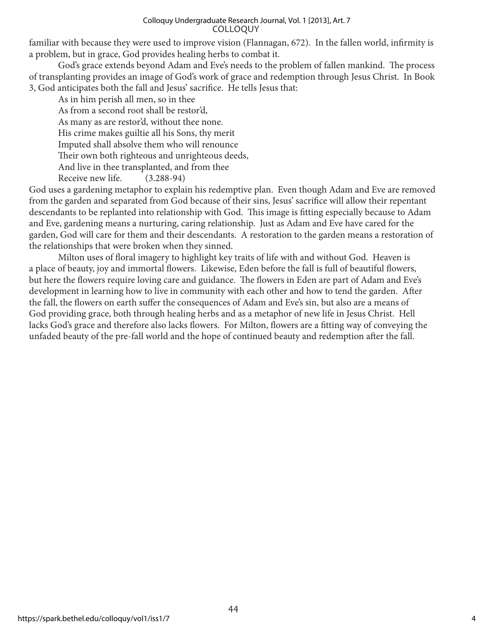#### COLLOQUY Colloquy Undergraduate Research Journal, Vol. 1 [2013], Art. 7

familiar with because they were used to improve vision (Flannagan, 672). In the fallen world, infirmity is a problem, but in grace, God provides healing herbs to combat it.

God's grace extends beyond Adam and Eve's needs to the problem of fallen mankind. The process of transplanting provides an image of God's work of grace and redemption through Jesus Christ. In Book 3, God anticipates both the fall and Jesus' sacrifice. He tells Jesus that:

As in him perish all men, so in thee As from a second root shall be restor'd, As many as are restor'd, without thee none. His crime makes guiltie all his Sons, thy merit Imputed shall absolve them who will renounce Their own both righteous and unrighteous deeds, And live in thee transplanted, and from thee Receive new life. (3.288-94)

God uses a gardening metaphor to explain his redemptive plan. Even though Adam and Eve are removed from the garden and separated from God because of their sins, Jesus' sacrifice will allow their repentant descendants to be replanted into relationship with God. This image is fitting especially because to Adam and Eve, gardening means a nurturing, caring relationship. Just as Adam and Eve have cared for the garden, God will care for them and their descendants. A restoration to the garden means a restoration of the relationships that were broken when they sinned.

Milton uses of floral imagery to highlight key traits of life with and without God. Heaven is a place of beauty, joy and immortal flowers. Likewise, Eden before the fall is full of beautiful flowers, but here the flowers require loving care and guidance. The flowers in Eden are part of Adam and Eve's development in learning how to live in community with each other and how to tend the garden. After the fall, the flowers on earth suffer the consequences of Adam and Eve's sin, but also are a means of God providing grace, both through healing herbs and as a metaphor of new life in Jesus Christ. Hell lacks God's grace and therefore also lacks flowers. For Milton, flowers are a fitting way of conveying the unfaded beauty of the pre-fall world and the hope of continued beauty and redemption after the fall.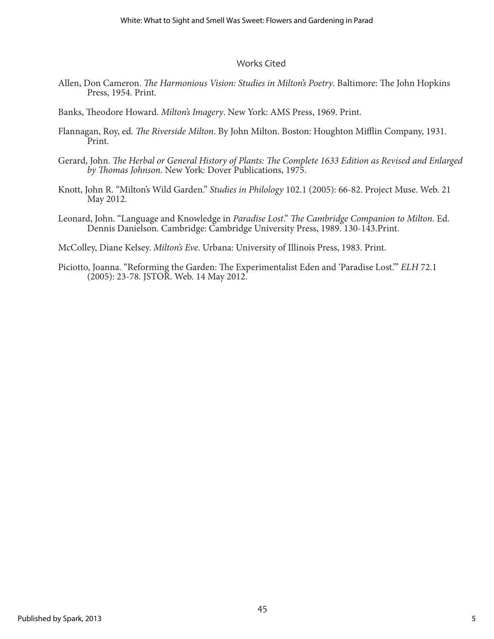### Works Cited

- Allen, Don Cameron. *The Harmonious Vision: Studies in Milton's Poetry*. Baltimore: The John Hopkins Press, 1954. Print.
- Banks, Theodore Howard. *Milton's Imagery*. New York: AMS Press, 1969. Print.
- Flannagan, Roy, ed. *The Riverside Milton*. By John Milton. Boston: Houghton Mifflin Company, 1931. Print.
- Gerard, John. *The Herbal or General History of Plants: The Complete 1633 Edition as Revised and Enlarged by Thomas Johnson*. New York: Dover Publications, 1975.
- Knott, John R. "Milton's Wild Garden." *Studies in Philology* 102.1 (2005): 66-82. Project Muse. Web. 21 May 2012.
- Leonard, John. "Language and Knowledge in *Paradise Lost*." *The Cambridge Companion to Milton*. Ed. Dennis Danielson. Cambridge: Cambridge University Press, 1989. 130-143.Print.
- McColley, Diane Kelsey. *Milton's Eve*. Urbana: University of Illinois Press, 1983. Print.
- Piciotto, Joanna. "Reforming the Garden: The Experimentalist Eden and 'Paradise Lost.'" *ELH* 72.1 (2005): 23-78. JSTOR. Web. 14 May 2012.